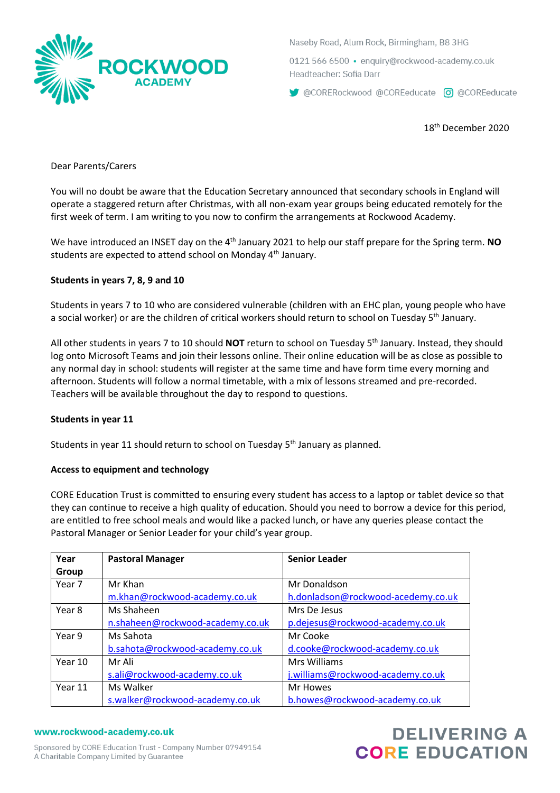

Naseby Road, Alum Rock, Birmingham, B8 3HG

0121 566 6500 · enquiry@rockwood-academy.co.uk Headteacher: Sofia Darr

CORERockwood @COREeducate co @COREeducate

18th December 2020

Dear Parents/Carers

You will no doubt be aware that the Education Secretary announced that secondary schools in England will operate a staggered return after Christmas, with all non-exam year groups being educated remotely for the first week of term. I am writing to you now to confirm the arrangements at Rockwood Academy.

We have introduced an INSET day on the 4<sup>th</sup> January 2021 to help our staff prepare for the Spring term. **NO** students are expected to attend school on Monday 4<sup>th</sup> January.

## **Students in years 7, 8, 9 and 10**

Students in years 7 to 10 who are considered vulnerable (children with an EHC plan, young people who have a social worker) or are the children of critical workers should return to school on Tuesday 5<sup>th</sup> January.

All other students in years 7 to 10 should **NOT** return to school on Tuesday 5<sup>th</sup> January. Instead, they should log onto Microsoft Teams and join their lessons online. Their online education will be as close as possible to any normal day in school: students will register at the same time and have form time every morning and afternoon. Students will follow a normal timetable, with a mix of lessons streamed and pre-recorded. Teachers will be available throughout the day to respond to questions.

## **Students in year 11**

Students in year 11 should return to school on Tuesday 5<sup>th</sup> January as planned.

## **Access to equipment and technology**

CORE Education Trust is committed to ensuring every student has access to a laptop or tablet device so that they can continue to receive a high quality of education. Should you need to borrow a device for this period, are entitled to free school meals and would like a packed lunch, or have any queries please contact the Pastoral Manager or Senior Leader for your child's year group.

| Year    | <b>Pastoral Manager</b>          | <b>Senior Leader</b>               |
|---------|----------------------------------|------------------------------------|
| Group   |                                  |                                    |
| Year 7  | Mr Khan                          | Mr Donaldson                       |
|         | m.khan@rockwood-academy.co.uk    | h.donladson@rockwood-acedemy.co.uk |
| Year 8  | Ms Shaheen                       | Mrs De Jesus                       |
|         | n.shaheen@rockwood-academy.co.uk | p.dejesus@rockwood-academy.co.uk   |
| Year 9  | Ms Sahota                        | Mr Cooke                           |
|         | b.sahota@rockwood-academy.co.uk  | d.cooke@rockwood-academy.co.uk     |
| Year 10 | Mr Ali                           | Mrs Williams                       |
|         | s.ali@rockwood-academy.co.uk     | j.williams@rockwood-academy.co.uk  |
| Year 11 | Ms Walker                        | Mr Howes                           |
|         | s.walker@rockwood-academy.co.uk  | b.howes@rockwood-academy.co.uk     |

## www.rockwood-academy.co.uk

**DELIVERING A CORE EDUCATION**